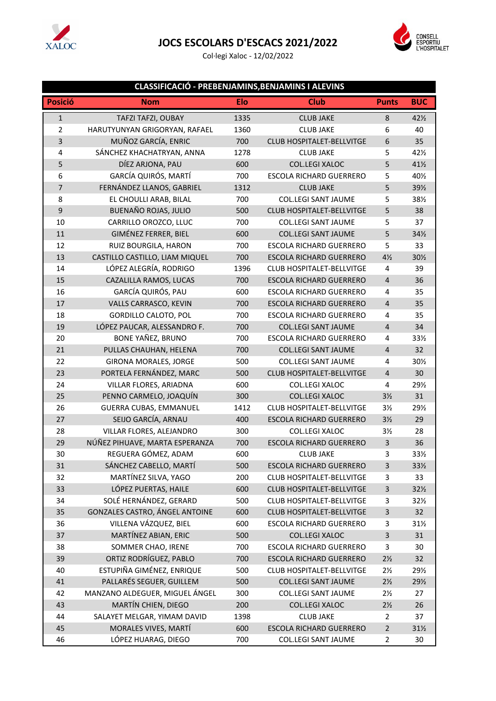

## **JOCS ESCOLARS D'ESCACS 2021/2022**

Col·legi Xaloc - 12/02/2022



## **CLASSIFICACIÓ - PREBENJAMINS,BENJAMINS I ALEVINS**

| <b>Posició</b>          | <b>Nom</b>                     | Elo  | <b>Club</b>                      | <b>Punts</b>   | <b>BUC</b>      |
|-------------------------|--------------------------------|------|----------------------------------|----------------|-----------------|
| $\mathbf{1}$            | TAFZI TAFZI, OUBAY             | 1335 | <b>CLUB JAKE</b>                 | 8              | $42\frac{1}{2}$ |
| $\overline{2}$          | HARUTYUNYAN GRIGORYAN, RAFAEL  | 1360 | <b>CLUB JAKE</b>                 | 6              | 40              |
| $\overline{\mathbf{3}}$ | MUÑOZ GARCÍA, ENRIC            | 700  | <b>CLUB HOSPITALET-BELLVITGE</b> | 6              | 35              |
| 4                       | SÁNCHEZ KHACHATRYAN, ANNA      | 1278 | <b>CLUB JAKE</b>                 | 5              | 421/2           |
| 5                       | DÍEZ ARJONA, PAU               | 600  | COL.LEGI XALOC                   | 5              | 41½             |
| 6                       | GARCÍA QUIRÓS, MARTÍ           | 700  | <b>ESCOLA RICHARD GUERRERO</b>   | 5              | 401/2           |
| $\overline{7}$          | FERNÁNDEZ LLANOS, GABRIEL      | 1312 | <b>CLUB JAKE</b>                 | 5              | 391/2           |
| 8                       | EL CHOULLI ARAB, BILAL         | 700  | <b>COL.LEGI SANT JAUME</b>       | 5              | 38½             |
| 9                       | <b>BUENAÑO ROJAS, JULIO</b>    | 500  | <b>CLUB HOSPITALET-BELLVITGE</b> | 5              | 38              |
| 10                      | CARRILLO OROZCO, LLUC          | 700  | <b>COL.LEGI SANT JAUME</b>       | 5              | 37              |
| 11                      | GIMÉNEZ FERRER, BIEL           | 600  | <b>COL.LEGI SANT JAUME</b>       | 5              | 34½             |
| 12                      | RUIZ BOURGILA, HARON           | 700  | <b>ESCOLA RICHARD GUERRERO</b>   | 5              | 33              |
| 13                      | CASTILLO CASTILLO, LIAM MIQUEL | 700  | <b>ESCOLA RICHARD GUERRERO</b>   | $4\frac{1}{2}$ | 30½             |
| 14                      | LÓPEZ ALEGRÍA, RODRIGO         | 1396 | <b>CLUB HOSPITALET-BELLVITGE</b> | 4              | 39              |
| 15                      | CAZALILLA RAMOS, LUCAS         | 700  | <b>ESCOLA RICHARD GUERRERO</b>   | $\overline{4}$ | 36              |
| 16                      | GARCÍA QUIRÓS, PAU             | 600  | <b>ESCOLA RICHARD GUERRERO</b>   | $\overline{4}$ | 35              |
| 17                      | VALLS CARRASCO, KEVIN          | 700  | <b>ESCOLA RICHARD GUERRERO</b>   | 4              | 35              |
| 18                      | <b>GORDILLO CALOTO, POL</b>    | 700  | <b>ESCOLA RICHARD GUERRERO</b>   | 4              | 35              |
| 19                      | LÓPEZ PAUCAR, ALESSANDRO F.    | 700  | <b>COL.LEGI SANT JAUME</b>       | $\overline{4}$ | 34              |
| 20                      | <b>BONE YAÑEZ, BRUNO</b>       | 700  | <b>ESCOLA RICHARD GUERRERO</b>   | 4              | 33½             |
| 21                      | PULLAS CHAUHAN, HELENA         | 700  | <b>COL.LEGI SANT JAUME</b>       | $\overline{4}$ | 32              |
| 22                      | <b>GIRONA MORALES, JORGE</b>   | 500  | <b>COL.LEGI SANT JAUME</b>       | 4              | 30½             |
| 23                      | PORTELA FERNÁNDEZ, MARC        | 500  | <b>CLUB HOSPITALET-BELLVITGE</b> | 4              | 30              |
| 24                      | VILLAR FLORES, ARIADNA         | 600  | COL.LEGI XALOC                   | $\overline{4}$ | 291/2           |
| 25                      | PENNO CARMELO, JOAQUÍN         | 300  | COL.LEGI XALOC                   | $3\frac{1}{2}$ | 31              |
| 26                      | <b>GUERRA CUBAS, EMMANUEL</b>  | 1412 | <b>CLUB HOSPITALET-BELLVITGE</b> | $3\frac{1}{2}$ | 291/2           |
| 27                      | SEIJO GARCÍA, ARNAU            | 400  | <b>ESCOLA RICHARD GUERRERO</b>   | $3\frac{1}{2}$ | 29              |
| 28                      | VILLAR FLORES, ALEJANDRO       | 300  | COL.LEGI XALOC                   | $3\frac{1}{2}$ | 28              |
| 29                      | NÚÑEZ PIHUAVE, MARTA ESPERANZA | 700  | <b>ESCOLA RICHARD GUERRERO</b>   | 3              | 36              |
| 30                      | REGUERA GÓMEZ, ADAM            | 600  | <b>CLUB JAKE</b>                 | 3              | 33½             |
| 31                      | SÁNCHEZ CABELLO, MARTÍ         | 500  | <b>ESCOLA RICHARD GUERRERO</b>   | 3              | 33½             |
| 32                      | MARTÍNEZ SILVA, YAGO           | 200  | CLUB HOSPITALET-BELLVITGE        | 3              | 33              |
| 33                      | LÓPEZ PUERTAS, HAILE           | 600  | CLUB HOSPITALET-BELLVITGE        | 3              | 32½             |
| 34                      | SOLÉ HERNÁNDEZ, GERARD         | 500  | CLUB HOSPITALET-BELLVITGE        | 3              | 321/2           |
| 35                      | GONZALES CASTRO, ÁNGEL ANTOINE | 600  | <b>CLUB HOSPITALET-BELLVITGE</b> | 3              | 32              |
| 36                      | VILLENA VÁZQUEZ, BIEL          | 600  | <b>ESCOLA RICHARD GUERRERO</b>   | 3              | 31½             |
| 37                      | MARTÍNEZ ABIAN, ERIC           | 500  | COL.LEGI XALOC                   | 3              | 31              |
| 38                      | SOMMER CHAO, IRENE             | 700  | <b>ESCOLA RICHARD GUERRERO</b>   | 3              | 30              |
| 39                      | ORTIZ RODRÍGUEZ, PABLO         | 700  | <b>ESCOLA RICHARD GUERRERO</b>   | $2\frac{1}{2}$ | 32              |
| 40                      | ESTUPIÑA GIMÉNEZ, ENRIQUE      | 500  | CLUB HOSPITALET-BELLVITGE        | $2\frac{1}{2}$ | 291/2           |
| 41                      | PALLARÉS SEGUER, GUILLEM       | 500  | <b>COL.LEGI SANT JAUME</b>       | $2\frac{1}{2}$ | 291/2           |
| 42                      | MANZANO ALDEGUER, MIGUEL ÁNGEL | 300  | <b>COL.LEGI SANT JAUME</b>       | $2\frac{1}{2}$ | 27              |
| 43                      | MARTÍN CHIEN, DIEGO            | 200  | COL.LEGI XALOC                   | $2\frac{1}{2}$ | 26              |
| 44                      | SALAYET MELGAR, YIMAM DAVID    | 1398 | <b>CLUB JAKE</b>                 | $\overline{2}$ | 37              |
| 45                      | MORALES VIVES, MARTÍ           | 600  | <b>ESCOLA RICHARD GUERRERO</b>   | $\overline{2}$ | 31½             |
| 46                      | LÓPEZ HUARAG, DIEGO            | 700  | COL.LEGI SANT JAUME              | $\overline{2}$ | 30              |